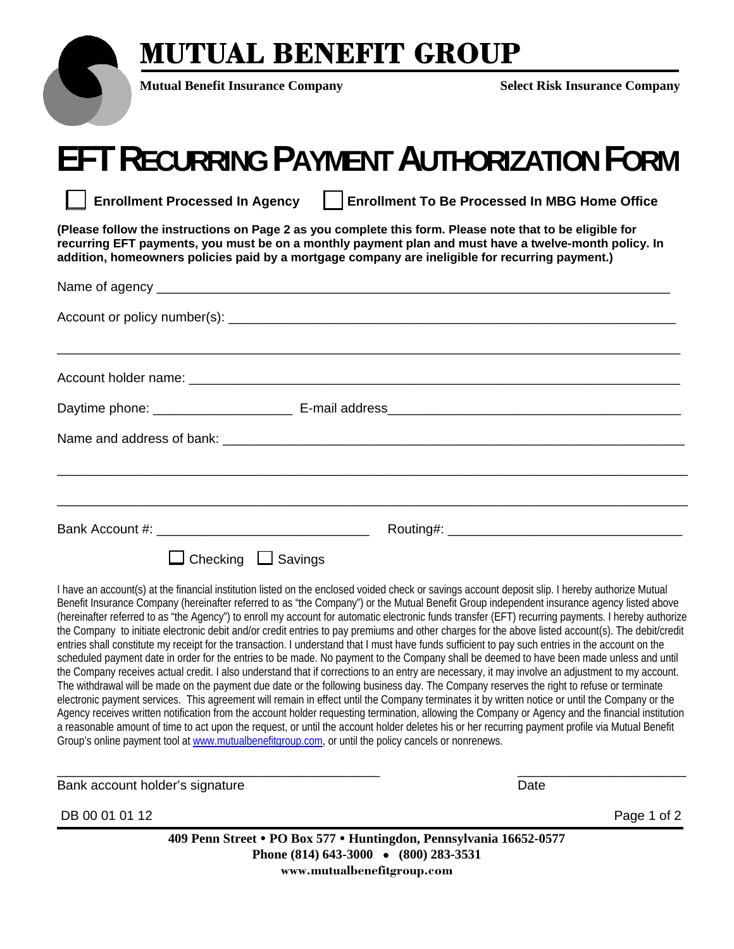### **MUTUAL BENEFIT GROUP**



**Mutual Benefit Insurance Company Select Risk Insurance Company** 

## **EFT RECURRING PAYMENT AUTHORIZATION FORM**

Enrollment Processed In Agency | | Enrollment To Be Processed In MBG Home Office

**(Please follow the instructions on Page 2 as you complete this form. Please note that to be eligible for recurring EFT payments, you must be on a monthly payment plan and must have a twelve-month policy. In addition, homeowners policies paid by a mortgage company are ineligible for recurring payment.)** 

| Checking $\Box$ Savings |  |
|-------------------------|--|

I have an account(s) at the financial institution listed on the enclosed voided check or savings account deposit slip. I hereby authorize Mutual Benefit Insurance Company (hereinafter referred to as "the Company") or the Mutual Benefit Group independent insurance agency listed above (hereinafter referred to as "the Agency") to enroll my account for automatic electronic funds transfer (EFT) recurring payments. I hereby authorize the Company to initiate electronic debit and/or credit entries to pay premiums and other charges for the above listed account(s). The debit/credit entries shall constitute my receipt for the transaction. I understand that I must have funds sufficient to pay such entries in the account on the scheduled payment date in order for the entries to be made. No payment to the Company shall be deemed to have been made unless and until the Company receives actual credit. I also understand that if corrections to an entry are necessary, it may involve an adjustment to my account. The withdrawal will be made on the payment due date or the following business day. The Company reserves the right to refuse or terminate electronic payment services. This agreement will remain in effect until the Company terminates it by written notice or until the Company or the Agency receives written notification from the account holder requesting termination, allowing the Company or Agency and the financial institution a reasonable amount of time to act upon the request, or until the account holder deletes his or her recurring payment profile via Mutual Benefit Group's online payment tool at www.mutualbenefitgroup.com, or until the policy cancels or nonrenews.

\_\_\_\_\_\_\_\_\_\_\_\_\_\_\_\_\_\_\_\_\_\_\_\_\_\_\_\_\_\_\_\_\_\_\_\_\_\_\_\_\_\_\_\_ \_\_\_\_\_\_\_\_\_\_\_\_\_\_\_\_\_\_\_\_\_\_\_

Bank account holder's signature Date Date of the Date Date Date Date

DB 00 01 01 12 **Page 1 of 2** 

**409 Penn Street PO Box 577 Huntingdon, Pennsylvania 16652-0577 Phone (814) 643-3000 (800) 283-3531 www.mutualbenefitgroup.com**